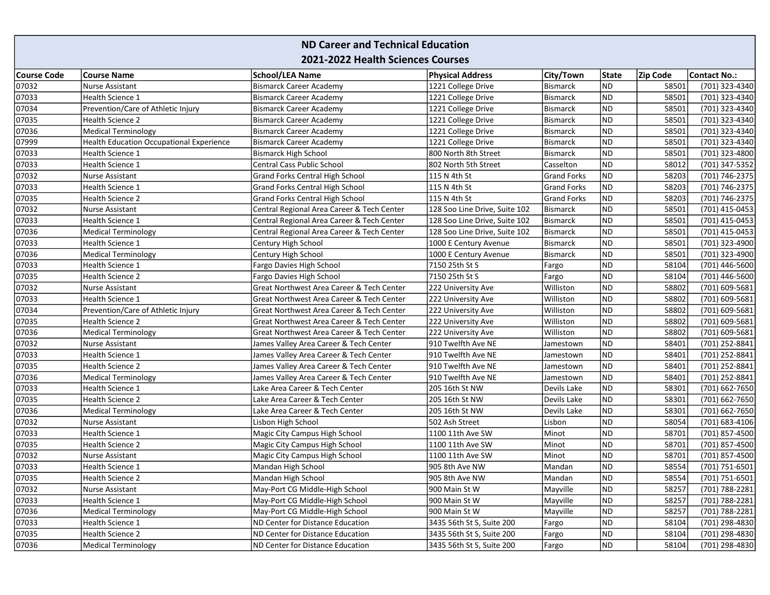## ND Career and Technical Education 2021-2022 Health Sciences Courses

| <b>Course Code</b> | <b>Course Name</b>                              | <b>School/LEA Name</b>                     | <b>Physical Address</b>       | <b>City/Town</b>   | <b>State</b> | Zip Code | <b>Contact No.:</b> |
|--------------------|-------------------------------------------------|--------------------------------------------|-------------------------------|--------------------|--------------|----------|---------------------|
| 07032              | Nurse Assistant                                 | <b>Bismarck Career Academy</b>             | 1221 College Drive            | <b>Bismarck</b>    | ND           | 58501    | (701) 323-4340      |
| 07033              | <b>Health Science 1</b>                         | <b>Bismarck Career Academy</b>             | 1221 College Drive            | Bismarck           | <b>ND</b>    | 58501    | (701) 323-4340      |
| 07034              | Prevention/Care of Athletic Injury              | <b>Bismarck Career Academy</b>             | 1221 College Drive            | <b>Bismarck</b>    | <b>ND</b>    | 58501    | (701) 323-4340      |
| 07035              | <b>Health Science 2</b>                         | <b>Bismarck Career Academy</b>             | 1221 College Drive            | <b>Bismarck</b>    | <b>ND</b>    | 58501    | (701) 323-4340      |
| 07036              | <b>Medical Terminology</b>                      | <b>Bismarck Career Academy</b>             | 1221 College Drive            | <b>Bismarck</b>    | <b>ND</b>    | 58501    | (701) 323-4340      |
| 07999              | <b>Health Education Occupational Experience</b> | <b>Bismarck Career Academy</b>             | 1221 College Drive            | <b>Bismarck</b>    | <b>ND</b>    | 58501    | (701) 323-4340      |
| 07033              | <b>Health Science 1</b>                         | <b>Bismarck High School</b>                | 800 North 8th Street          | Bismarck           | <b>ND</b>    | 58501    | (701) 323-4800      |
| 07033              | <b>Health Science 1</b>                         | <b>Central Cass Public School</b>          | 802 North 5th Street          | Casselton          | <b>ND</b>    | 58012    | (701) 347-5352      |
| 07032              | Nurse Assistant                                 | Grand Forks Central High School            | 115 N 4th St                  | <b>Grand Forks</b> | <b>ND</b>    | 58203    | (701) 746-2375      |
| 07033              | Health Science 1                                | <b>Grand Forks Central High School</b>     | 115 N 4th St                  | <b>Grand Forks</b> | <b>ND</b>    | 58203    | (701) 746-2375      |
| 07035              | <b>Health Science 2</b>                         | Grand Forks Central High School            | 115 N 4th St                  | <b>Grand Forks</b> | <b>ND</b>    | 58203    | (701) 746-2375      |
| 07032              | Nurse Assistant                                 | Central Regional Area Career & Tech Center | 128 Soo Line Drive, Suite 102 | <b>Bismarck</b>    | <b>ND</b>    | 58501    | (701) 415-0453      |
| 07033              | Health Science 1                                | Central Regional Area Career & Tech Center | 128 Soo Line Drive, Suite 102 | Bismarck           | <b>ND</b>    | 58501    | (701) 415-0453      |
| 07036              | <b>Medical Terminology</b>                      | Central Regional Area Career & Tech Center | 128 Soo Line Drive, Suite 102 | <b>Bismarck</b>    | <b>ND</b>    | 58501    | (701) 415-0453      |
| 07033              | <b>Health Science 1</b>                         | Century High School                        | 1000 E Century Avenue         | <b>Bismarck</b>    | <b>ND</b>    | 58501    | (701) 323-4900      |
| 07036              | <b>Medical Terminology</b>                      | Century High School                        | 1000 E Century Avenue         | Bismarck           | <b>ND</b>    | 58501    | (701) 323-4900      |
| 07033              | Health Science 1                                | Fargo Davies High School                   | 7150 25th St S                | Fargo              | <b>ND</b>    | 58104    | (701) 446-5600      |
| 07035              | <b>Health Science 2</b>                         | Fargo Davies High School                   | 7150 25th St S                | Fargo              | <b>ND</b>    | 58104    | (701) 446-5600      |
| 07032              | <b>Nurse Assistant</b>                          | Great Northwest Area Career & Tech Center  | 222 University Ave            | Williston          | <b>ND</b>    | 58802    | (701) 609-5681      |
| 07033              | <b>Health Science 1</b>                         | Great Northwest Area Career & Tech Center  | 222 University Ave            | Williston          | <b>ND</b>    | 58802    | (701) 609-5681      |
| 07034              | Prevention/Care of Athletic Injury              | Great Northwest Area Career & Tech Center  | 222 University Ave            | Williston          | <b>ND</b>    | 58802    | (701) 609-5681      |
| 07035              | <b>Health Science 2</b>                         | Great Northwest Area Career & Tech Center  | 222 University Ave            | Williston          | <b>ND</b>    | 58802    | (701) 609-5681      |
| 07036              | <b>Medical Terminology</b>                      | Great Northwest Area Career & Tech Center  | 222 University Ave            | Williston          | <b>ND</b>    | 58802    | (701) 609-5681      |
| 07032              | Nurse Assistant                                 | James Valley Area Career & Tech Center     | 910 Twelfth Ave NE            | Jamestown          | <b>ND</b>    | 58401    | (701) 252-8841      |
| 07033              | Health Science 1                                | James Valley Area Career & Tech Center     | 910 Twelfth Ave NE            | Jamestown          | <b>ND</b>    | 58401    | (701) 252-8841      |
| 07035              | <b>Health Science 2</b>                         | James Valley Area Career & Tech Center     | 910 Twelfth Ave NE            | Jamestown          | <b>ND</b>    | 58401    | (701) 252-8841      |
| 07036              | <b>Medical Terminology</b>                      | James Valley Area Career & Tech Center     | 910 Twelfth Ave NE            | Jamestown          | <b>ND</b>    | 58401    | (701) 252-8841      |
| 07033              | Health Science 1                                | Lake Area Career & Tech Center             | 205 16th St NW                | Devils Lake        | <b>ND</b>    | 58301    | (701) 662-7650      |
| 07035              | <b>Health Science 2</b>                         | Lake Area Career & Tech Center             | 205 16th St NW                | Devils Lake        | <b>ND</b>    | 58301    | (701) 662-7650      |
| 07036              | <b>Medical Terminology</b>                      | Lake Area Career & Tech Center             | 205 16th St NW                | Devils Lake        | <b>ND</b>    | 58301    | (701) 662-7650      |
| 07032              | <b>Nurse Assistant</b>                          | Lisbon High School                         | 502 Ash Street                | Lisbon             | <b>ND</b>    | 58054    | (701) 683-4106      |
| 07033              | <b>Health Science 1</b>                         | Magic City Campus High School              | 1100 11th Ave SW              | Minot              | <b>ND</b>    | 58701    | (701) 857-4500      |
| 07035              | <b>Health Science 2</b>                         | Magic City Campus High School              | 1100 11th Ave SW              | Minot              | <b>ND</b>    | 58701    | (701) 857-4500      |
| 07032              | Nurse Assistant                                 | Magic City Campus High School              | 1100 11th Ave SW              | Minot              | <b>ND</b>    | 58701    | (701) 857-4500      |
| 07033              | Health Science 1                                | Mandan High School                         | 905 8th Ave NW                | Mandan             | <b>ND</b>    | 58554    | (701) 751-6501      |
| 07035              | <b>Health Science 2</b>                         | Mandan High School                         | 905 8th Ave NW                | Mandan             | ND           | 58554    | (701) 751-6501      |
| 07032              | Nurse Assistant                                 | May-Port CG Middle-High School             | 900 Main St W                 | Mayville           | <b>ND</b>    | 58257    | (701) 788-2281      |
| 07033              | <b>Health Science 1</b>                         | May-Port CG Middle-High School             | 900 Main St W                 | Mayville           | <b>ND</b>    | 58257    | (701) 788-2281      |
| 07036              | <b>Medical Terminology</b>                      | May-Port CG Middle-High School             | 900 Main St W                 | Mayville           | <b>ND</b>    | 58257    | (701) 788-2281      |
| 07033              | <b>Health Science 1</b>                         | ND Center for Distance Education           | 3435 56th St S, Suite 200     | Fargo              | <b>ND</b>    | 58104    | (701) 298-4830      |
| 07035              | <b>Health Science 2</b>                         | ND Center for Distance Education           | 3435 56th St S, Suite 200     | Fargo              | <b>ND</b>    | 58104    | (701) 298-4830      |
| 07036              | <b>Medical Terminology</b>                      | ND Center for Distance Education           | 3435 56th St S, Suite 200     | Fargo              | <b>ND</b>    | 58104    | (701) 298-4830      |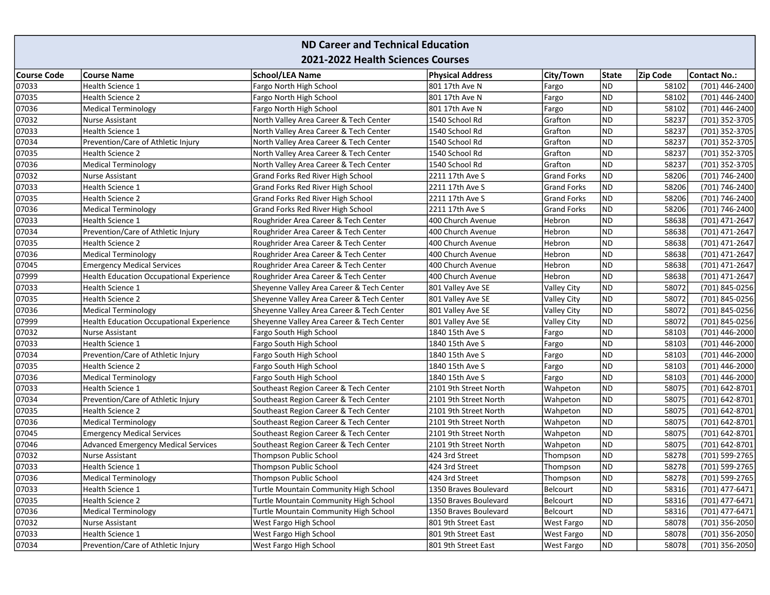## ND Career and Technical Education 2021-2022 Health Sciences Courses

| <b>Course Code</b> | <b>Course Name</b>                              | <b>School/LEA Name</b>                    | <b>Physical Address</b> | City/Town          | <b>State</b> | Zip Code | <b>Contact No.:</b> |
|--------------------|-------------------------------------------------|-------------------------------------------|-------------------------|--------------------|--------------|----------|---------------------|
| 07033              | Health Science 1                                | Fargo North High School                   | 801 17th Ave N          | Fargo              | <b>ND</b>    | 58102    | (701) 446-2400      |
| 07035              | <b>Health Science 2</b>                         | Fargo North High School                   | 801 17th Ave N          | Fargo              | <b>ND</b>    | 58102    | (701) 446-2400      |
| 07036              | <b>Medical Terminology</b>                      | Fargo North High School                   | 801 17th Ave N          | Fargo              | <b>ND</b>    | 58102    | (701) 446-2400      |
| 07032              | Nurse Assistant                                 | North Valley Area Career & Tech Center    | 1540 School Rd          | Grafton            | <b>ND</b>    | 58237    | (701) 352-3705      |
| 07033              | Health Science 1                                | North Valley Area Career & Tech Center    | 1540 School Rd          | Grafton            | <b>ND</b>    | 58237    | (701) 352-3705      |
| 07034              | Prevention/Care of Athletic Injury              | North Valley Area Career & Tech Center    | 1540 School Rd          | Grafton            | <b>ND</b>    | 58237    | (701) 352-3705      |
| 07035              | <b>Health Science 2</b>                         | North Valley Area Career & Tech Center    | 1540 School Rd          | Grafton            | <b>ND</b>    | 58237    | (701) 352-3705      |
| 07036              | <b>Medical Terminology</b>                      | North Valley Area Career & Tech Center    | 1540 School Rd          | Grafton            | <b>ND</b>    | 58237    | (701) 352-3705      |
| 07032              | Nurse Assistant                                 | Grand Forks Red River High School         | 2211 17th Ave S         | <b>Grand Forks</b> | <b>ND</b>    | 58206    | (701) 746-2400      |
| 07033              | Health Science 1                                | Grand Forks Red River High School         | 2211 17th Ave S         | <b>Grand Forks</b> | <b>ND</b>    | 58206    | (701) 746-2400      |
| 07035              | <b>Health Science 2</b>                         | Grand Forks Red River High School         | 2211 17th Ave S         | <b>Grand Forks</b> | <b>ND</b>    | 58206    | (701) 746-2400      |
| 07036              | <b>Medical Terminology</b>                      | Grand Forks Red River High School         | 2211 17th Ave S         | <b>Grand Forks</b> | <b>ND</b>    | 58206    | (701) 746-2400      |
| 07033              | Health Science 1                                | Roughrider Area Career & Tech Center      | 400 Church Avenue       | <b>Hebron</b>      | <b>ND</b>    | 58638    | (701) 471-2647      |
| 07034              | Prevention/Care of Athletic Injury              | Roughrider Area Career & Tech Center      | 400 Church Avenue       | Hebron             | <b>ND</b>    | 58638    | (701) 471-2647      |
| 07035              | <b>Health Science 2</b>                         | Roughrider Area Career & Tech Center      | 400 Church Avenue       | Hebron             | <b>ND</b>    | 58638    | (701) 471-2647      |
| 07036              | <b>Medical Terminology</b>                      | Roughrider Area Career & Tech Center      | 400 Church Avenue       | Hebron             | <b>ND</b>    | 58638    | (701) 471-2647      |
| 07045              | <b>Emergency Medical Services</b>               | Roughrider Area Career & Tech Center      | 400 Church Avenue       | Hebron             | <b>ND</b>    | 58638    | (701) 471-2647      |
| 07999              | <b>Health Education Occupational Experience</b> | Roughrider Area Career & Tech Center      | 400 Church Avenue       | Hebron             | <b>ND</b>    | 58638    | (701) 471-2647      |
| 07033              | Health Science 1                                | Sheyenne Valley Area Career & Tech Center | 801 Valley Ave SE       | <b>Valley City</b> | <b>ND</b>    | 58072    | (701) 845-0256      |
| 07035              | Health Science 2                                | Sheyenne Valley Area Career & Tech Center | 801 Valley Ave SE       | <b>Valley City</b> | <b>ND</b>    | 58072    | (701) 845-0256      |
| 07036              | <b>Medical Terminology</b>                      | Sheyenne Valley Area Career & Tech Center | 801 Valley Ave SE       | Valley City        | ND           | 58072    | (701) 845-0256      |
| 07999              | <b>Health Education Occupational Experience</b> | Sheyenne Valley Area Career & Tech Center | 801 Valley Ave SE       | <b>Valley City</b> | <b>ND</b>    | 58072    | (701) 845-0256      |
| 07032              | <b>Nurse Assistant</b>                          | Fargo South High School                   | 1840 15th Ave S         | Fargo              | <b>ND</b>    | 58103    | (701) 446-2000      |
| 07033              | Health Science 1                                | Fargo South High School                   | 1840 15th Ave S         | Fargo              | <b>ND</b>    | 58103    | (701) 446-2000      |
| 07034              | Prevention/Care of Athletic Injury              | Fargo South High School                   | 1840 15th Ave S         | Fargo              | <b>ND</b>    | 58103    | (701) 446-2000      |
| 07035              | <b>Health Science 2</b>                         | Fargo South High School                   | 1840 15th Ave S         | Fargo              | <b>ND</b>    | 58103    | (701) 446-2000      |
| 07036              | <b>Medical Terminology</b>                      | Fargo South High School                   | 1840 15th Ave S         | Fargo              | <b>ND</b>    | 58103    | (701) 446-2000      |
| 07033              | Health Science 1                                | Southeast Region Career & Tech Center     | 2101 9th Street North   | Wahpeton           | <b>ND</b>    | 58075    | (701) 642-8701      |
| 07034              | Prevention/Care of Athletic Injury              | Southeast Region Career & Tech Center     | 2101 9th Street North   | Wahpeton           | <b>ND</b>    | 58075    | (701) 642-8701      |
| 07035              | Health Science 2                                | Southeast Region Career & Tech Center     | 2101 9th Street North   | Wahpeton           | <b>ND</b>    | 58075    | (701) 642-8701      |
| 07036              | <b>Medical Terminology</b>                      | Southeast Region Career & Tech Center     | 2101 9th Street North   | Wahpeton           | <b>ND</b>    | 58075    | (701) 642-8701      |
| 07045              | <b>Emergency Medical Services</b>               | Southeast Region Career & Tech Center     | 2101 9th Street North   | Wahpeton           | <b>ND</b>    | 58075    | (701) 642-8701      |
| 07046              | <b>Advanced Emergency Medical Services</b>      | Southeast Region Career & Tech Center     | 2101 9th Street North   | Wahpeton           | <b>ND</b>    | 58075    | (701) 642-8701      |
| 07032              | Nurse Assistant                                 | Thompson Public School                    | 424 3rd Street          | Thompson           | <b>ND</b>    | 58278    | (701) 599-2765      |
| 07033              | Health Science 1                                | Thompson Public School                    | 424 3rd Street          | Thompson           | <b>ND</b>    | 58278    | (701) 599-2765      |
| 07036              | <b>Medical Terminology</b>                      | Thompson Public School                    | 424 3rd Street          | Thompson           | <b>ND</b>    | 58278    | (701) 599-2765      |
| 07033              | Health Science 1                                | Turtle Mountain Community High School     | 1350 Braves Boulevard   | Belcourt           | <b>ND</b>    | 58316    | (701) 477-6471      |
| 07035              | <b>Health Science 2</b>                         | Turtle Mountain Community High School     | 1350 Braves Boulevard   | Belcourt           | <b>ND</b>    | 58316    | (701) 477-6471      |
| 07036              | <b>Medical Terminology</b>                      | Turtle Mountain Community High School     | 1350 Braves Boulevard   | Belcourt           | <b>ND</b>    | 58316    | (701) 477-6471      |
| 07032              | Nurse Assistant                                 | West Fargo High School                    | 801 9th Street East     | <b>West Fargo</b>  | <b>ND</b>    | 58078    | (701) 356-2050      |
| 07033              | Health Science 1                                | West Fargo High School                    | 801 9th Street East     | West Fargo         | <b>ND</b>    | 58078    | (701) 356-2050      |
| 07034              | Prevention/Care of Athletic Injury              | West Fargo High School                    | 801 9th Street East     | <b>West Fargo</b>  | <b>ND</b>    | 58078    | (701) 356-2050      |